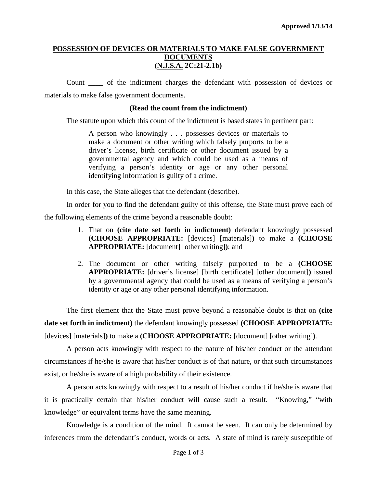### **POSSESSION OF DEVICES OR MATERIALS TO MAKE FALSE GOVERNMENT DOCUMENTS (N.J.S.A. 2C:21-2.1b)**

Count \_\_\_\_ of the indictment charges the defendant with possession of devices or materials to make false government documents.

#### **(Read the count from the indictment)**

The statute upon which this count of the indictment is based states in pertinent part:

A person who knowingly . . . possesses devices or materials to make a document or other writing which falsely purports to be a driver's license, birth certificate or other document issued by a governmental agency and which could be used as a means of verifying a person's identity or age or any other personal identifying information is guilty of a crime.

In this case, the State alleges that the defendant (describe).

In order for you to find the defendant guilty of this offense, the State must prove each of the following elements of the crime beyond a reasonable doubt:

- 1. That on **(cite date set forth in indictment)** defendant knowingly possessed **(CHOOSE APPROPRIATE:** [devices] [materials]**)** to make a **(CHOOSE APPROPRIATE:** [document] [other writing]**)**; and
- 2. The document or other writing falsely purported to be a **(CHOOSE APPROPRIATE:** [driver's license] [birth certificate] [other document]**)** issued by a governmental agency that could be used as a means of verifying a person's identity or age or any other personal identifying information.

The first element that the State must prove beyond a reasonable doubt is that on **(cite date set forth in indictment)** the defendant knowingly possessed **(CHOOSE APPROPRIATE:** [devices] [materials]**)** to make a **(CHOOSE APPROPRIATE:** [document] [other writing]**)**.

A person acts knowingly with respect to the nature of his/her conduct or the attendant circumstances if he/she is aware that his/her conduct is of that nature, or that such circumstances exist, or he/she is aware of a high probability of their existence.

A person acts knowingly with respect to a result of his/her conduct if he/she is aware that it is practically certain that his/her conduct will cause such a result. "Knowing," "with knowledge" or equivalent terms have the same meaning.

<span id="page-0-0"></span>Knowledge is a condition of the mind. It cannot be seen. It can only be determined by inferences from the defendant's conduct, words or acts. A state of mind is rarely susceptible of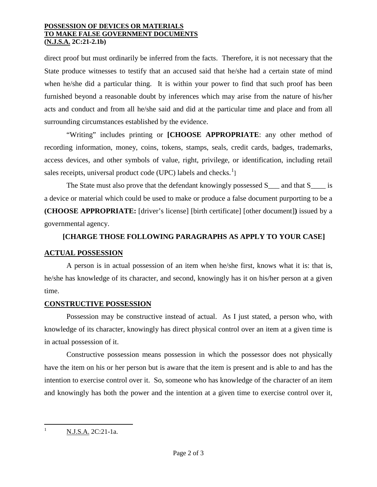#### **POSSESSION OF DEVICES OR MATERIALS TO MAKE FALSE GOVERNMENT DOCUMENTS (N.J.S.A. 2C:21-2.1b)**

direct proof but must ordinarily be inferred from the facts. Therefore, it is not necessary that the State produce witnesses to testify that an accused said that he/she had a certain state of mind when he/she did a particular thing. It is within your power to find that such proof has been furnished beyond a reasonable doubt by inferences which may arise from the nature of his/her acts and conduct and from all he/she said and did at the particular time and place and from all surrounding circumstances established by the evidence.

"Writing" includes printing or **[CHOOSE APPROPRIATE**: any other method of recording information, money, coins, tokens, stamps, seals, credit cards, badges, trademarks, access devices, and other symbols of value, right, privilege, or identification, including retail sales receipts, universal product code (UPC) labels and checks.<sup>[1](#page-0-0)</sup>]

The State must also prove that the defendant knowingly possessed S<sub>\_\_\_</sub> and that S<sub>\_\_\_\_</sub> is a device or material which could be used to make or produce a false document purporting to be a **(CHOOSE APPROPRIATE:** [driver's license] [birth certificate] [other document]**)** issued by a governmental agency.

# **[CHARGE THOSE FOLLOWING PARAGRAPHS AS APPLY TO YOUR CASE]**

## **ACTUAL POSSESSION**

A person is in actual possession of an item when he/she first, knows what it is: that is, he/she has knowledge of its character, and second, knowingly has it on his/her person at a given time.

## **CONSTRUCTIVE POSSESSION**

Possession may be constructive instead of actual. As I just stated, a person who, with knowledge of its character, knowingly has direct physical control over an item at a given time is in actual possession of it.

Constructive possession means possession in which the possessor does not physically have the item on his or her person but is aware that the item is present and is able to and has the intention to exercise control over it. So, someone who has knowledge of the character of an item and knowingly has both the power and the intention at a given time to exercise control over it,

<span id="page-1-0"></span> $N.J.S.A. 2C:21-1a.$